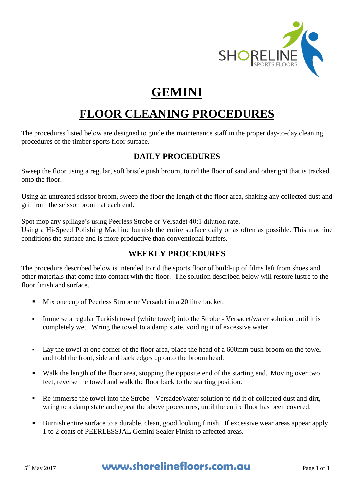

# **GEMINI**

# **FLOOR CLEANING PROCEDURES**

The procedures listed below are designed to guide the maintenance staff in the proper day-to-day cleaning procedures of the timber sports floor surface.

## **DAILY PROCEDURES**

Sweep the floor using a regular, soft bristle push broom, to rid the floor of sand and other grit that is tracked onto the floor.

Using an untreated scissor broom, sweep the floor the length of the floor area, shaking any collected dust and grit from the scissor broom at each end.

Spot mop any spillage's using Peerless Strobe or Versadet 40:1 dilution rate.

Using a Hi-Speed Polishing Machine burnish the entire surface daily or as often as possible. This machine conditions the surface and is more productive than conventional buffers.

## **WEEKLY PROCEDURES**

The procedure described below is intended to rid the sports floor of build-up of films left from shoes and other materials that come into contact with the floor. The solution described below will restore lustre to the floor finish and surface.

- Mix one cup of Peerless Strobe or Versadet in a 20 litre bucket.
- Immerse a regular Turkish towel (white towel) into the Strobe Versadet/water solution until it is completely wet. Wring the towel to a damp state, voiding it of excessive water.
- Lay the towel at one corner of the floor area, place the head of a 600mm push broom on the towel and fold the front, side and back edges up onto the broom head.
- Walk the length of the floor area, stopping the opposite end of the starting end. Moving over two feet, reverse the towel and walk the floor back to the starting position.
- Re-immerse the towel into the Strobe Versadet/water solution to rid it of collected dust and dirt, wring to a damp state and repeat the above procedures, until the entire floor has been covered.
- Burnish entire surface to a durable, clean, good looking finish. If excessive wear areas appear apply 1 to 2 coats of PEERLESSJAL Gemini Sealer Finish to affected areas.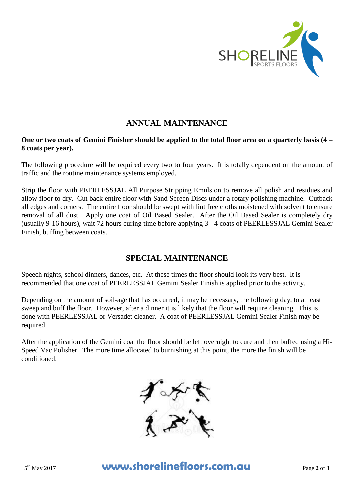

## **ANNUAL MAINTENANCE**

### **One or two coats of Gemini Finisher should be applied to the total floor area on a quarterly basis (4 – 8 coats per year).**

The following procedure will be required every two to four years. It is totally dependent on the amount of traffic and the routine maintenance systems employed.

Strip the floor with PEERLESSJAL All Purpose Stripping Emulsion to remove all polish and residues and allow floor to dry. Cut back entire floor with Sand Screen Discs under a rotary polishing machine. Cutback all edges and corners. The entire floor should be swept with lint free cloths moistened with solvent to ensure removal of all dust. Apply one coat of Oil Based Sealer. After the Oil Based Sealer is completely dry (usually 9-16 hours), wait 72 hours curing time before applying 3 - 4 coats of PEERLESSJAL Gemini Sealer Finish, buffing between coats.

## **SPECIAL MAINTENANCE**

Speech nights, school dinners, dances, etc. At these times the floor should look its very best. It is recommended that one coat of PEERLESSJAL Gemini Sealer Finish is applied prior to the activity.

Depending on the amount of soil-age that has occurred, it may be necessary, the following day, to at least sweep and buff the floor. However, after a dinner it is likely that the floor will require cleaning. This is done with PEERLESSJAL or Versadet cleaner. A coat of PEERLESSJAL Gemini Sealer Finish may be required.

After the application of the Gemini coat the floor should be left overnight to cure and then buffed using a Hi-Speed Vac Polisher. The more time allocated to burnishing at this point, the more the finish will be conditioned.



# **www.shorelinefloors.com.au** Page 2 of 3